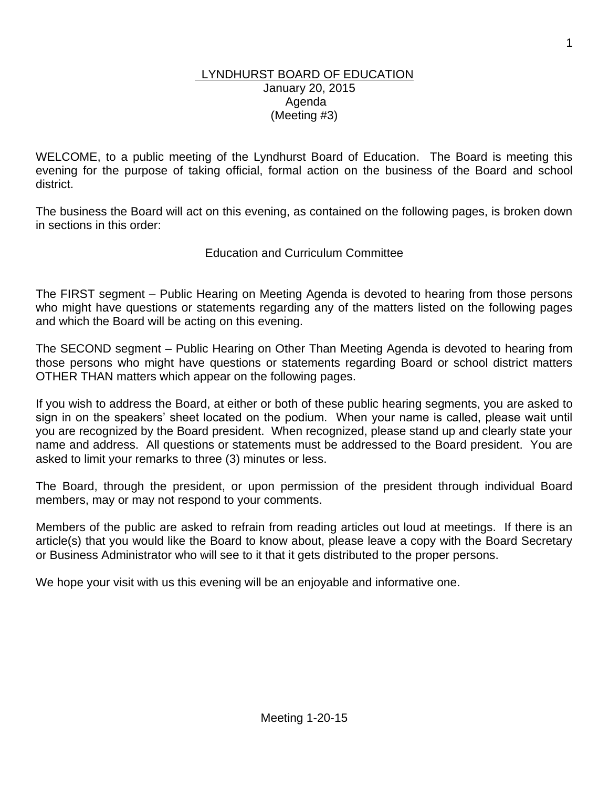#### LYNDHURST BOARD OF EDUCATION January 20, 2015 Agenda (Meeting #3)

WELCOME, to a public meeting of the Lyndhurst Board of Education. The Board is meeting this evening for the purpose of taking official, formal action on the business of the Board and school district.

The business the Board will act on this evening, as contained on the following pages, is broken down in sections in this order:

## Education and Curriculum Committee

The FIRST segment – Public Hearing on Meeting Agenda is devoted to hearing from those persons who might have questions or statements regarding any of the matters listed on the following pages and which the Board will be acting on this evening.

The SECOND segment – Public Hearing on Other Than Meeting Agenda is devoted to hearing from those persons who might have questions or statements regarding Board or school district matters OTHER THAN matters which appear on the following pages.

If you wish to address the Board, at either or both of these public hearing segments, you are asked to sign in on the speakers' sheet located on the podium. When your name is called, please wait until you are recognized by the Board president. When recognized, please stand up and clearly state your name and address. All questions or statements must be addressed to the Board president. You are asked to limit your remarks to three (3) minutes or less.

The Board, through the president, or upon permission of the president through individual Board members, may or may not respond to your comments.

Members of the public are asked to refrain from reading articles out loud at meetings. If there is an article(s) that you would like the Board to know about, please leave a copy with the Board Secretary or Business Administrator who will see to it that it gets distributed to the proper persons.

We hope your visit with us this evening will be an enjoyable and informative one.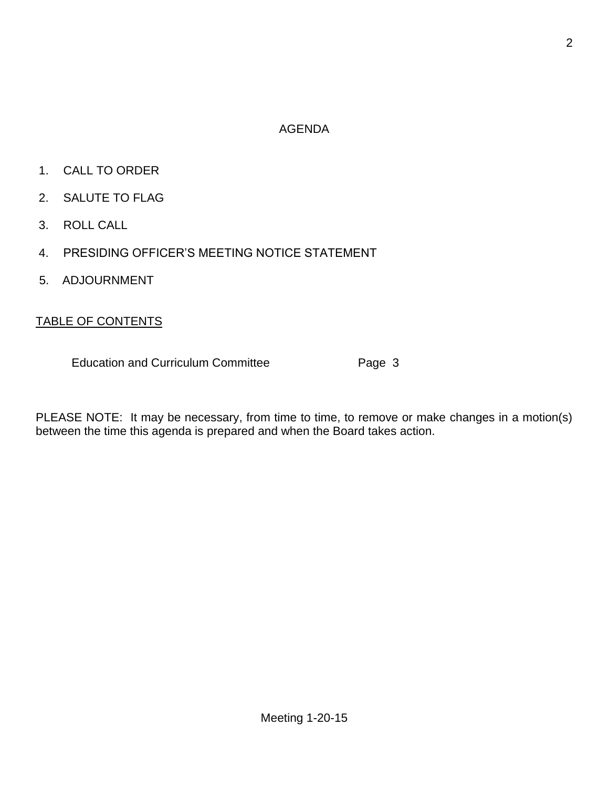# AGENDA

- 1. CALL TO ORDER
- 2. SALUTE TO FLAG
- 3. ROLL CALL
- 4. PRESIDING OFFICER'S MEETING NOTICE STATEMENT
- 5. ADJOURNMENT

## TABLE OF CONTENTS

Education and Curriculum Committee **Page 3** 

PLEASE NOTE: It may be necessary, from time to time, to remove or make changes in a motion(s) between the time this agenda is prepared and when the Board takes action.